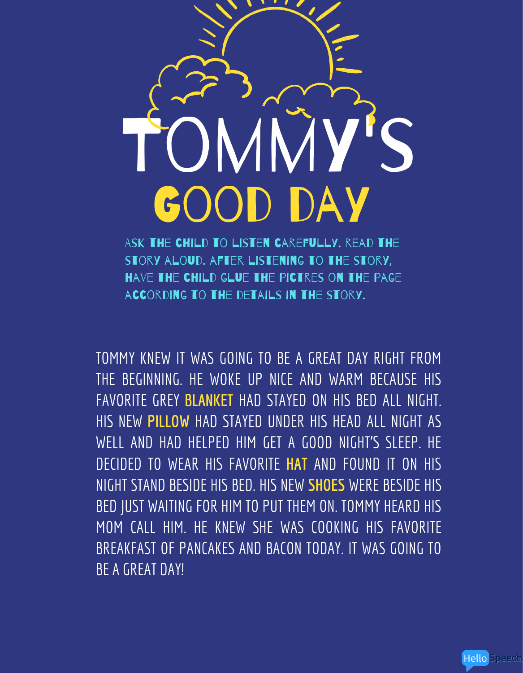TOMMY KNEW IT WAS GOING TO BE A GREAT DAY RIGHT FROM THE BEGINNING. HE WOKE UP NICE AND WARM BECAUSE HIS FAVORITE GREY **BLANKET** HAD STAYED ON HIS BED ALL NIGHT. HIS NEW **PILLOW** HAD STAYED UNDER HIS HEAD ALL NIGHT AS WELL AND HAD HELPED HIM GET A GOOD NIGHT'S SLEEP. HE DECIDED TO WEAR HIS FAVORITE **HAT** AND FOUND IT ON HIS NIGHT STAND BESIDE HIS BED. HIS NEW **SHOES** WERE BESIDE HIS BED JUST WAITING FOR HIM TO PUT THEM ON. TOMMY HEARD HIS MOM CALL HIM. HE KNEW SHE WAS COOKING HIS FAVORITE BREAKFAST OF PANCAKES AND BACON TODAY. IT WAS GOING TO BE A GREAT DAY!





ASK THE CHILD TO LISTEN CAREFULLY. READ THE story aloud. after listening to the story, have the child glue the pictres on the page according to the details in the story.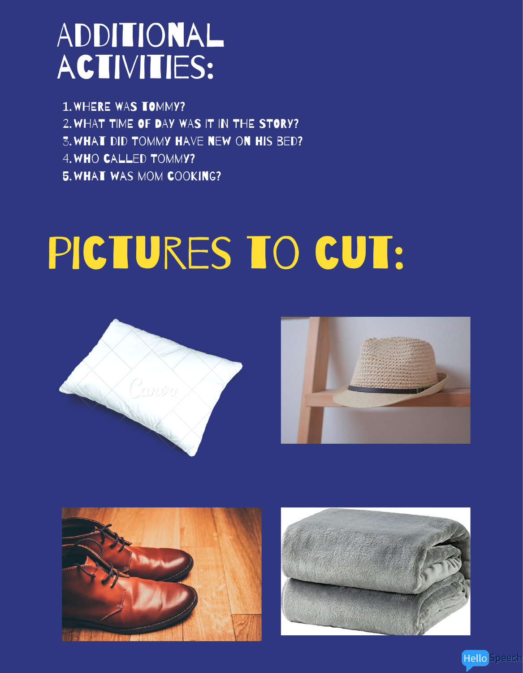## Additional ACTIVITIES:

WHERE WAS tOMMY? 1. wHAT TIME OF DAY WAS IT IN THE STORY? 2. what did Tommy have new on his bed? 3. who called Tommy? 4. what was mom cooking? 5.

## PICTURES TO CUT: